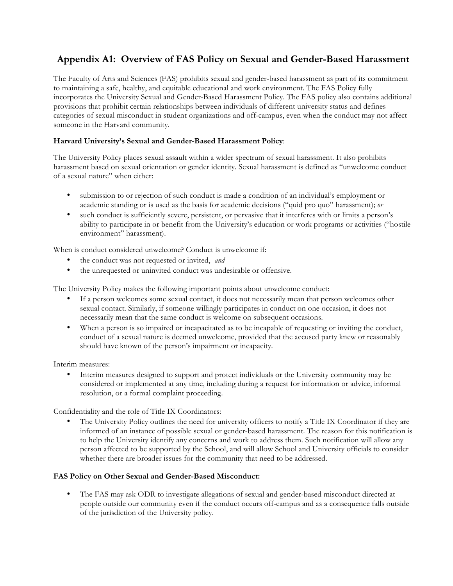# **Appendix A1: Overview of FAS Policy on Sexual and Gender-Based Harassment**

The Faculty of Arts and Sciences (FAS) prohibits sexual and gender-based harassment as part of its commitment to maintaining a safe, healthy, and equitable educational and work environment. The FAS Policy fully incorporates the University Sexual and Gender-Based Harassment Policy. The FAS policy also contains additional provisions that prohibit certain relationships between individuals of different university status and defines categories of sexual misconduct in student organizations and off-campus, even when the conduct may not affect someone in the Harvard community.

### **Harvard University's Sexual and Gender-Based Harassment Policy**:

The University Policy places sexual assault within a wider spectrum of sexual harassment. It also prohibits harassment based on sexual orientation or gender identity. Sexual harassment is defined as "unwelcome conduct of a sexual nature" when either:

- submission to or rejection of such conduct is made a condition of an individual's employment or academic standing or is used as the basis for academic decisions ("quid pro quo" harassment); *or*
- such conduct is sufficiently severe, persistent, or pervasive that it interferes with or limits a person's ability to participate in or benefit from the University's education or work programs or activities ("hostile environment" harassment).

When is conduct considered unwelcome? Conduct is unwelcome if:

- the conduct was not requested or invited, *and*
- the unrequested or uninvited conduct was undesirable or offensive.

The University Policy makes the following important points about unwelcome conduct:

- If a person welcomes some sexual contact, it does not necessarily mean that person welcomes other sexual contact. Similarly, if someone willingly participates in conduct on one occasion, it does not necessarily mean that the same conduct is welcome on subsequent occasions.
- When a person is so impaired or incapacitated as to be incapable of requesting or inviting the conduct, conduct of a sexual nature is deemed unwelcome, provided that the accused party knew or reasonably should have known of the person's impairment or incapacity.

Interim measures:

• Interim measures designed to support and protect individuals or the University community may be considered or implemented at any time, including during a request for information or advice, informal resolution, or a formal complaint proceeding.

Confidentiality and the role of Title IX Coordinators:

The University Policy outlines the need for university officers to notify a Title IX Coordinator if they are informed of an instance of possible sexual or gender-based harassment. The reason for this notification is to help the University identify any concerns and work to address them. Such notification will allow any person affected to be supported by the School, and will allow School and University officials to consider whether there are broader issues for the community that need to be addressed.

#### **FAS Policy on Other Sexual and Gender-Based Misconduct:**

• The FAS may ask ODR to investigate allegations of sexual and gender-based misconduct directed at people outside our community even if the conduct occurs off-campus and as a consequence falls outside of the jurisdiction of the University policy.